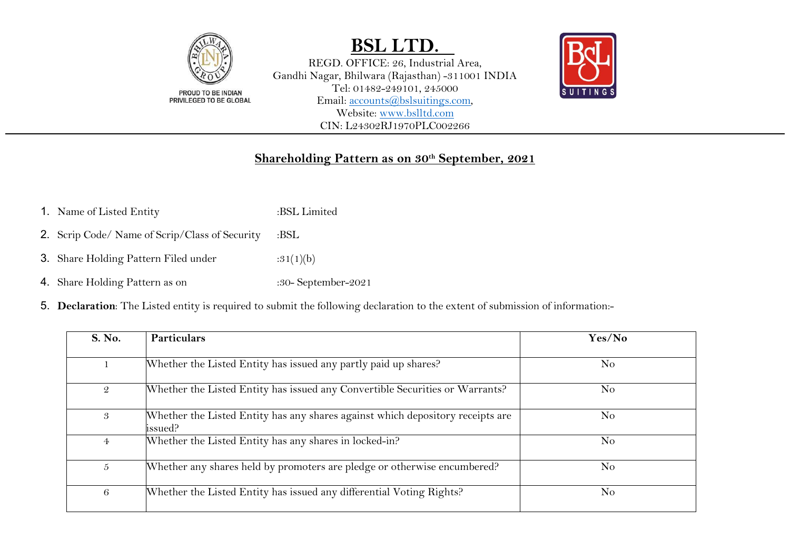

REGD. OFFICE: 26, Industrial Area, Gandhi Nagar, Bhilwara (Rajasthan) -311001 INDIA Tel: 01482-249101, 245000 Email: [accounts@bslsuitings.com,](mailto:accounts@bslsuitings.com) Website: [www.bslltd.com](http://www.bslltd.com/)  CIN: L24302RJ1970PLC002266



### **Shareholding Pattern as on 30th September, 2021**

- 1. Name of Listed Entity :BSL Limited
- 2. Scrip Code/ Name of Scrip/Class of Security :BSL
- **3.** Share Holding Pattern Filed under  $:31(1)(b)$
- 4. Share Holding Pattern as on :30- September-2021
- 5. **Declaration**: The Listed entity is required to submit the following declaration to the extent of submission of information:-

| S. No.         | <b>Particulars</b>                                                                         | Yes/No         |
|----------------|--------------------------------------------------------------------------------------------|----------------|
| 1              | Whether the Listed Entity has issued any partly paid up shares?                            | N <sub>o</sub> |
| $\mathfrak{D}$ | Whether the Listed Entity has issued any Convertible Securities or Warrants?               | N <sub>o</sub> |
| 3              | Whether the Listed Entity has any shares against which depository receipts are<br>lissued? | No             |
| $\overline{4}$ | Whether the Listed Entity has any shares in locked-in?                                     | N <sub>o</sub> |
| $5^{\circ}$    | Whether any shares held by promoters are pledge or otherwise encumbered?                   | N <sub>o</sub> |
| 6              | Whether the Listed Entity has issued any differential Voting Rights?                       | N <sub>o</sub> |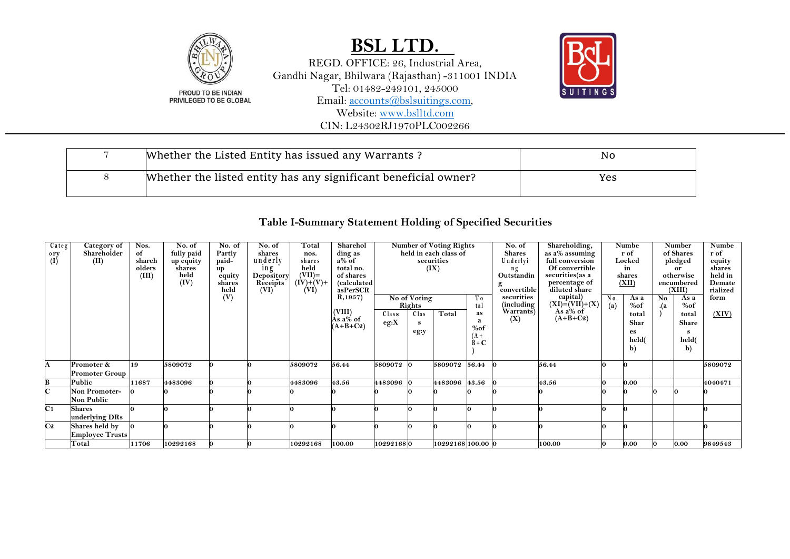

REGD. OFFICE: 26, Industrial Area, Gandhi Nagar, Bhilwara (Rajasthan) -311001 INDIA Tel: 01482-249101, 245000 Email: [accounts@bslsuitings.com,](mailto:accounts@bslsuitings.com) Website: [www.bslltd.com](http://www.bslltd.com/) CIN: L24302RJ1970PLC002266



| Whether the Listed Entity has issued any Warrants?              | No  |
|-----------------------------------------------------------------|-----|
| Whether the listed entity has any significant beneficial owner? | Yes |

### **Table I-Summary Statement Holding of Specified Securities**

| Categ<br>$\sigma^{o}(\mathbf{I})$ | Category of<br>Shareholder<br>(II)       | Nos.<br>of<br>shareh<br>olders<br>(III) | No. of<br>fully paid<br>up equity<br>shares<br>held<br>(IV) | No. of<br>Partly<br>paid-<br>up<br>equity<br>shares<br>held<br>(V) | No. of<br>shares<br>underly<br>1n g<br>Depository<br>Receipts<br>(VI) | Total<br>nos.<br>shares<br>held<br>$(VII)=$<br>$(IV)+(V)+$<br>(VI) | Sharehol<br>ding as<br>$a\%$ of<br>total no.<br>of shares<br>(calculated<br>asPerSCR<br>R, 1957)<br>(VIII) |                          | (IX)<br>No of Voting<br>Rights | <b>Number of Voting Rights</b><br>held in each class of<br>securities | Тo<br>tal                                    | No. of<br><b>Shares</b><br>Underlyi<br>ng<br>Outstandin<br>convertible<br>securities<br>(including)<br>Warrants) | Shareholding,<br>as a% assuming<br>full conversion<br>Of convertible<br>securities(as a<br>percentage of<br>diluted share<br>capital)<br>$(XI) = (VII) + (X)$<br>As $a\%$ of | No.<br>(a) | Numbe<br>r of<br>Locked<br>in<br>shares<br>(XII)<br>As a<br>%of | No<br>.(a | Number<br>of Shares<br>pledged<br>or<br>otherwise<br>encumbered<br>(XIII)<br>As a<br>%of | Numbe<br>r of<br>equity<br>shares<br>held in<br>Demate<br>rialized<br>form |
|-----------------------------------|------------------------------------------|-----------------------------------------|-------------------------------------------------------------|--------------------------------------------------------------------|-----------------------------------------------------------------------|--------------------------------------------------------------------|------------------------------------------------------------------------------------------------------------|--------------------------|--------------------------------|-----------------------------------------------------------------------|----------------------------------------------|------------------------------------------------------------------------------------------------------------------|------------------------------------------------------------------------------------------------------------------------------------------------------------------------------|------------|-----------------------------------------------------------------|-----------|------------------------------------------------------------------------------------------|----------------------------------------------------------------------------|
| A                                 | Promoter &                               | 19                                      | 5809072                                                     |                                                                    |                                                                       | 5809072                                                            | Às a% of<br>$(A+B+C2)$<br>56.44                                                                            | Class<br>eg:X<br>5809072 | Clas<br>s<br>eg:y              | Total<br>5809072                                                      | as<br>%of<br>$A +$<br>$\hat{B} + C$<br>56.44 | (X)                                                                                                              | $(A+B+C2)$<br>56.44                                                                                                                                                          |            | total<br>Shar<br>es<br>held(<br>b)                              |           | total<br>Share<br>held(<br>b)                                                            | (XIV)<br>5809072                                                           |
| В                                 | <b>Promoter Group</b><br>Public          | 11687                                   | 4483096                                                     |                                                                    |                                                                       | 4483096                                                            | 43.56                                                                                                      | 4483096                  |                                | 4483096                                                               | 43.56                                        |                                                                                                                  | 43.56                                                                                                                                                                        |            | 0.00                                                            |           |                                                                                          | 4040471                                                                    |
| C                                 | <b>Non Promoter-</b><br>Non Public       |                                         |                                                             |                                                                    |                                                                       |                                                                    |                                                                                                            |                          |                                |                                                                       |                                              |                                                                                                                  |                                                                                                                                                                              |            |                                                                 |           |                                                                                          |                                                                            |
| C <sub>1</sub>                    | <b>Shares</b><br>underlying DRs          |                                         |                                                             |                                                                    |                                                                       |                                                                    |                                                                                                            |                          |                                |                                                                       |                                              |                                                                                                                  |                                                                                                                                                                              |            |                                                                 |           |                                                                                          |                                                                            |
| C <sub>2</sub>                    | Shares held by<br><b>Employee Trusts</b> |                                         |                                                             |                                                                    |                                                                       |                                                                    |                                                                                                            |                          |                                |                                                                       |                                              |                                                                                                                  |                                                                                                                                                                              |            |                                                                 |           |                                                                                          |                                                                            |
|                                   | Total                                    | 11706                                   | 10292168                                                    |                                                                    |                                                                       | 10292168                                                           | 100.00                                                                                                     | 102921680                |                                | 10292168 100.00 0                                                     |                                              |                                                                                                                  | 100.00                                                                                                                                                                       |            | 0.00                                                            |           | 0.00                                                                                     | 9849543                                                                    |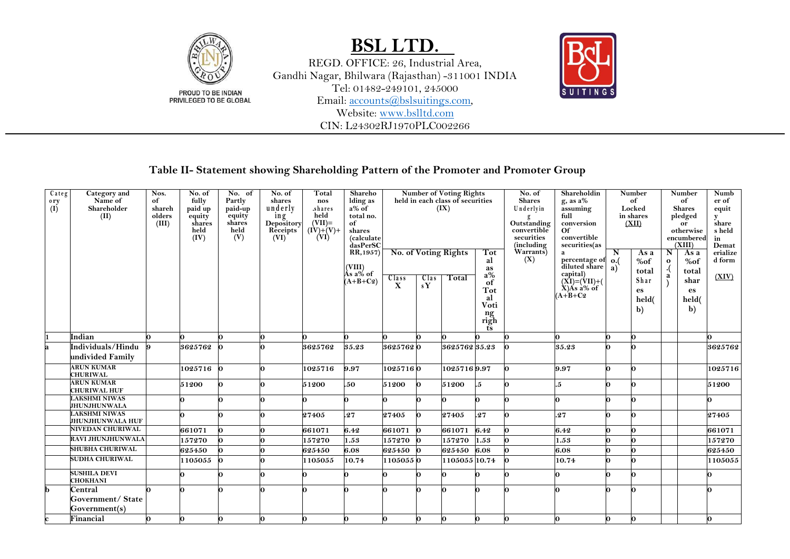

REGD. OFFICE: 26, Industrial Area, Gandhi Nagar, Bhilwara (Rajasthan) -311001 INDIA Tel: 01482-249101, 245000 Email: [accounts@bslsuitings.com,](mailto:accounts@bslsuitings.com) Website: [www.bslltd.com](http://www.bslltd.com/) CIN: L24302RJ1970PLC002266



### **Table II- Statement showing Shareholding Pattern of the Promoter and Promoter Group**

| $\overline{C}$ ateg | Category and                                | Nos.           | No. of       | No. of         | No. of            | Total                         | Shareho              |              |      | <b>Number of Voting Rights</b>   |                                      | No. of                     | Shareholdin                            |                 | <b>Number</b> |              | Number                  | Numb         |
|---------------------|---------------------------------------------|----------------|--------------|----------------|-------------------|-------------------------------|----------------------|--------------|------|----------------------------------|--------------------------------------|----------------------------|----------------------------------------|-----------------|---------------|--------------|-------------------------|--------------|
| 0 <sub>ry</sub>     | Name of                                     | of             | fully        | Partly         | shares            | nos                           | lding as<br>a% of    |              |      | held in each class of securities |                                      | <b>Shares</b>              | $g$ , as $a\%$                         |                 | of            |              | of                      | er of        |
| (I)                 | Shareholder                                 | shareh         | paid up      | paid-up        | underly           | .shares                       |                      |              |      | (IX)                             |                                      | Underlyin                  | assuming                               |                 | Locked        |              | <b>Shares</b>           | equit        |
|                     | (II)                                        | olders         | equity       | `equity        | ing<br>Depository | held                          | total no.            |              |      |                                  |                                      |                            | full                                   |                 | in shares     |              | pledged                 | y            |
|                     |                                             | (III)          | shares       | shares<br>held | Receipts          | $(VII)=$<br>$(\dot{IV})+(V)+$ | of                   |              |      |                                  |                                      | Outstanding<br>convertible | conversion                             |                 | (XII)         |              | or                      | share        |
|                     |                                             |                | held<br>(IV) | (V)            | (VI)              | (VI)                          | shares<br>(calculate |              |      |                                  |                                      | securities                 | Of<br>convertible                      |                 |               |              | otherwise<br>encumbered | s held<br>in |
|                     |                                             |                |              |                |                   |                               | dasPerSC             |              |      |                                  |                                      | (including                 | securities(as                          |                 |               |              | (XIII)                  | Demat        |
|                     |                                             |                |              |                |                   |                               | RR, 1957)            |              |      | No. of Voting Rights             | Tot                                  | Warrants)                  | a                                      | N               | As a          | N            | As a                    | erialize     |
|                     |                                             |                |              |                |                   |                               |                      |              |      |                                  | al                                   | (X)                        | percentage of                          | $\mathbf{o}$ .( | %of           | $\mathbf{o}$ | %of                     | d form       |
|                     |                                             |                |              |                |                   |                               | (VIII)<br>As a% of   |              |      |                                  | as                                   |                            | diluted share                          | $\mathbf{a}$ )  | total         |              | total                   |              |
|                     |                                             |                |              |                |                   |                               |                      | $Cl2s$ s     | Clas | Total                            | $a\%$                                |                            |                                        |                 |               | a            |                         | (XIV)        |
|                     |                                             |                |              |                |                   |                               | $(A+B+C2)$           | $\mathbf{X}$ | sY   |                                  | of                                   |                            | capital)<br>(XI)=(VII)+(<br>X)As a% of |                 | Shar          |              | shar                    |              |
|                     |                                             |                |              |                |                   |                               |                      |              |      |                                  | <b>Tot</b>                           |                            | $(A+B+C2)$                             |                 | es            |              | es                      |              |
|                     |                                             |                |              |                |                   |                               |                      |              |      |                                  | al<br>Voti                           |                            |                                        |                 | held(         |              | held(                   |              |
|                     |                                             |                |              |                |                   |                               |                      |              |      |                                  |                                      |                            |                                        |                 | $\mathbf{b}$  |              | $\mathbf{b}$            |              |
|                     |                                             |                |              |                |                   |                               |                      |              |      |                                  | $\mathop{\bf ng}\limits_{\bf right}$ |                            |                                        |                 |               |              |                         |              |
|                     |                                             |                |              |                |                   |                               |                      |              |      |                                  | ts                                   |                            |                                        |                 |               |              |                         |              |
|                     | Indian                                      |                | 0            |                | U                 |                               |                      |              |      |                                  |                                      |                            |                                        |                 |               |              |                         |              |
|                     | Individuals/Hindu                           | $\overline{9}$ | 3625762      |                |                   | 3625762                       | 35.23                | 36257620     |      | 3625762 35.23                    |                                      |                            | 35.23                                  |                 |               |              |                         | 3625762      |
|                     | undivided Family                            |                |              |                |                   |                               |                      |              |      |                                  |                                      |                            |                                        |                 |               |              |                         |              |
|                     | <b>ARUN KUMAR</b>                           |                | 1025716      | $\Omega$       |                   | 1025716                       | 9.97                 | 10257160     |      | 10257169.97                      |                                      |                            | 9.97                                   | n               |               |              |                         | 1025716      |
|                     | <b>CHURIWAL</b>                             |                |              |                |                   |                               |                      |              |      |                                  |                                      |                            |                                        |                 |               |              |                         |              |
|                     | <b>ARUN KUMAR</b>                           |                | 51200        | 0              |                   | 51200                         | .50                  | 51200        |      | 51200                            | .5                                   |                            | $.5\,$                                 |                 |               |              |                         | 51200        |
|                     | <b>CHURIWAL HUF</b>                         |                |              |                |                   |                               |                      |              |      |                                  |                                      |                            |                                        |                 |               |              |                         |              |
|                     | <b>LAKSHMI NIWAS</b><br><b>JHUNJHUNWALA</b> |                |              |                |                   |                               |                      |              |      |                                  |                                      |                            |                                        |                 |               |              |                         | Ω            |
|                     | <b>AKSHMI NIWAS</b>                         |                | Ω.           |                |                   |                               | .27                  |              |      |                                  | .27                                  |                            |                                        |                 |               |              |                         |              |
|                     | <b>JHUNJHUNWALA HUF</b>                     |                |              |                |                   | 27405                         |                      | 27405        |      | 27405                            |                                      |                            | .27                                    |                 |               |              |                         | 27405        |
|                     | <b>NIVEDAN CHURIWAL</b>                     |                | 661071       |                |                   | 661071                        | 6.42                 | 661071       |      | 661071                           | 6.42                                 |                            | 6.42                                   |                 |               |              |                         | 661071       |
|                     | RAVI JHUNJHUNWALA                           |                | 157270       |                |                   | 157270                        | 1.53                 | 157270       |      | 157270                           | 1.53                                 |                            | 1.53                                   |                 |               |              |                         | 157270       |
|                     | <b>SHUBHA CHURIWAL</b>                      |                | 625450       |                |                   | 625450                        | 6.08                 | 625450       |      | 625450                           | 6.08                                 |                            | 6.08                                   |                 |               |              |                         | 625450       |
|                     | <b>SUDHA CHURIWAL</b>                       |                | 1105055      |                |                   | 1105055                       | 10.74                | 11050550     |      | 1105055 10.74                    |                                      |                            | 10.74                                  | n               |               |              |                         | 1105055      |
|                     | <b>SUSHILA DEVI</b>                         |                | Ω.           |                |                   |                               |                      |              |      |                                  |                                      |                            | Ω                                      | Λ               |               |              |                         | 0            |
|                     | CHOKHANI                                    |                |              |                |                   |                               |                      |              |      |                                  |                                      |                            |                                        |                 |               |              |                         |              |
| b                   | Central                                     | 0              |              |                |                   |                               |                      |              |      |                                  |                                      |                            |                                        |                 |               |              |                         |              |
|                     | Government/State                            |                |              |                |                   |                               |                      |              |      |                                  |                                      |                            |                                        |                 |               |              |                         |              |
|                     | Government(s)                               |                |              |                |                   |                               |                      |              |      |                                  |                                      |                            |                                        |                 |               |              |                         |              |
|                     | Financial                                   | $\bf{0}$       | ю.           |                |                   |                               |                      | Ю            |      |                                  | n.                                   |                            |                                        |                 |               |              |                         | 0            |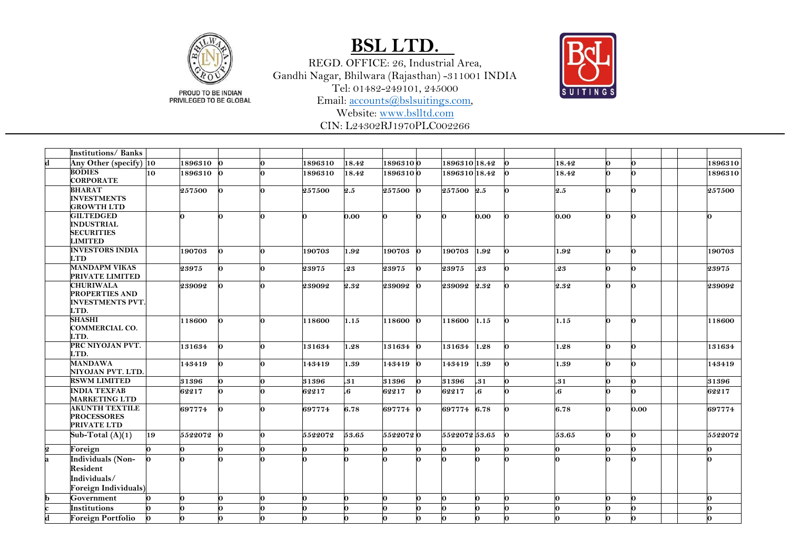

REGD. OFFICE: 26, Industrial Area, Gandhi Nagar, Bhilwara (Rajasthan) -311001 INDIA Tel: 01482 -249101, 245000 Email: [accounts@bslsuitings.com,](mailto:accounts@bslsuitings.com)



PROUD TO BE INDIAN<br>PRIVILEGED TO BE GLOBAL

Website: [www.bslltd.com](http://www.bslltd.com/)

CIN: L24302RJ1970PLC002266

|                         | <b>Institutions/Banks</b>                                                    |          |         |              |    |         |                         |          |          |               |      |     |                     |    |      |         |
|-------------------------|------------------------------------------------------------------------------|----------|---------|--------------|----|---------|-------------------------|----------|----------|---------------|------|-----|---------------------|----|------|---------|
| d                       | Any Other (specify) 10                                                       |          | 1896310 |              | 0  | 1896310 | 18.42                   | 18963100 |          | 1896310 18.42 |      |     | 18.42               | 0  |      | 1896310 |
|                         | <b>BODIES</b><br><b>CORPORATE</b>                                            | 10       | 1896310 |              | 0  | 1896310 | 18.42                   | 18963100 |          | 1896310 18.42 |      | 0   | 18.42               | 0  |      | 1896310 |
|                         | <b>BHARAT</b><br><b>INVESTMENTS</b><br><b>GROWTH LTD</b>                     |          | 257500  | n.           | O. | 257500  | 2.5                     | 257500 0 |          | 257500 2.5    |      | n.  | 2.5                 | 0  |      | 257500  |
|                         | <b>GILTEDGED</b><br><b>INDUSTRIAL</b><br><b>SECURITIES</b><br><b>LIMITED</b> |          |         |              | 0  | 0       | 0.00                    |          | 0        |               | 0.00 |     | 0.00                | 0  |      |         |
|                         | <b>INVESTORS INDIA</b><br><b>LTD</b>                                         |          | 190703  | n.           | O. | 190703  | 1.92                    | 190703   | $\Omega$ | 190703        | 1.92 | n.  | 1.92                | 0  | Λ    | 190703  |
|                         | <b>MANDAPM VIKAS</b><br>PRIVATE LIMITED                                      |          | 23975   |              | O. | 23975   | .23                     | 23975    | O.       | 23975         | .23  | n.  | .23                 | Ω  |      | 23975   |
|                         | <b>CHURIWALA</b><br><b>PROPERTIES AND</b><br><b>INVESTMENTS PVT.</b><br>LTD. |          | 239092  |              | 0  | 239092  | 2.32                    | 239092   | ю.       | 239092 2.32   |      | 0   | 2.32                | 0  |      | 239092  |
|                         | <b>SHASHI</b><br><b>COMMERCIAL CO.</b><br>LTD.                               |          | 118600  |              | 0  | 118600  | 1.15                    | 118600   | <b>n</b> | 118600        | 1.15 | n.  | 1.15                | 0  | n    | 118600  |
|                         | PRC NIYOJAN PVT.<br>LTD.                                                     |          | 131634  | n.           | O. | 131634  | 1.28                    | 131634 0 |          | 131634        | 1.28 | lo. | 1.28                | 0  |      | 131634  |
|                         | <b>MANDAWA</b><br>NIYOJAN PVT. LTD.                                          |          | 143419  | O.           | 0  | 143419  | 1.39                    | 143419 0 |          | 143419        | 1.39 | 0   | 1.39                | 0  |      | 143419  |
|                         | <b>RSWM LIMITED</b>                                                          |          | 31396   |              | 0  | 31396   | .31                     | 31396    | n        | 31396         | .31  | 0   | .31                 | O. |      | 31396   |
|                         | <b>INDIA TEXFAB</b><br><b>MARKETING LTD</b>                                  |          | 62217   |              | 0  | 62217   | $\overline{\mathbf{6}}$ | 62217    | 0        | 62217         | l.6  | n.  | $\overline{\bf{6}}$ | n  |      | 62217   |
|                         | <b>AKUNTH TEXTILE</b><br><b>PROCESSORES</b><br>PRIVATE LTD                   |          | 697774  | n.           | 0  | 697774  | 6.78                    | 697774 0 |          | 697774 6.78   |      | n   | 6.78                | 0  | 0.00 | 697774  |
|                         | Sub-Total $(A)(1)$                                                           | 19       | 5522072 | $\mathbf{v}$ | 0  | 5522072 | 53.65                   | 55220720 |          | 5522072 53.65 |      | ю.  | 53.65               | 0  | Ω.   | 5522072 |
| $\bf{2}$                | Foreign                                                                      | o.       |         |              | 0  | Ω.      | 0                       | n.       | 0        |               | 0    | Λ   | 0                   | 0  |      | 0       |
| a                       | <b>Individuals (Non-</b><br>Resident<br>Individuals/<br>Foreign Individuals) |          |         |              | ∩  |         |                         |          |          |               | n    |     |                     |    |      |         |
| b                       | Government                                                                   | <b>O</b> |         |              | 0  | n       | 0                       | n.       | n        |               | n    |     | 0                   | U  |      |         |
|                         | Institutions                                                                 |          |         |              | ω. |         | 0                       | n        | Λ        |               | n.   |     |                     | Λ  |      |         |
| $\overline{\mathbf{d}}$ | <b>Foreign Portfolio</b>                                                     | 0        |         |              | 0  |         | U                       |          |          |               | n    |     |                     |    |      |         |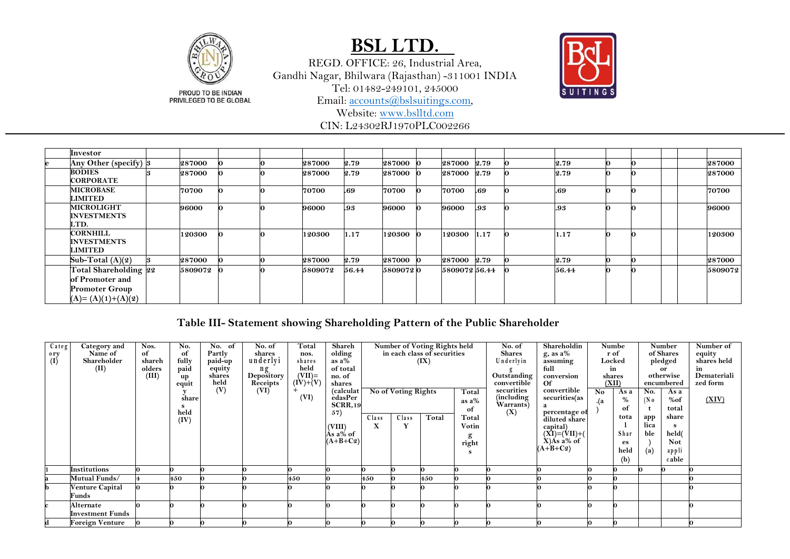

REGD. OFFICE: 26, Industrial Area, Gandhi Nagar, Bhilwara (Rajasthan) -311001 INDIA Tel: 01482-249101, 245000 Email: [accounts@bslsuitings.com,](mailto:accounts@bslsuitings.com)



PROUD TO BE INDIAN<br>PRIVILEGED TO BE GLOBAL

Website: [www.bslltd.com](http://www.bslltd.com/)

CIN: L24302RJ1970PLC002266

| Investor                                                                                 |               |  |               |       |               |              |     |       |   |  |         |
|------------------------------------------------------------------------------------------|---------------|--|---------------|-------|---------------|--------------|-----|-------|---|--|---------|
| Any Other (specify) 3                                                                    | <b>287000</b> |  | <b>287000</b> | 2.79  | <b>287000</b> | 287000 2.79  |     | 2.79  | റ |  | 287000  |
| <b>BODIES</b><br><b>CORPORATE</b>                                                        | <b>287000</b> |  | <b>287000</b> | 2.79  | 287000        | 287000 2.79  |     | 2.79  |   |  | 287000  |
| <b>MICROBASE</b><br><b>LIMITED</b>                                                       | 70700         |  | 70700         | .69   | 70700         | 70700        | .69 | .69   |   |  | 70700   |
| <b>MICROLIGHT</b><br><b>INVESTMENTS</b><br>LTD.                                          | 96000         |  | 96000         | .93   | 96000         | 96000        | .93 | .93   | ŋ |  | 96000   |
| <b>CORNHILL</b><br><b>INVESTMENTS</b><br><b>LIMITED</b>                                  | 120300        |  | 120300        | 1.17  | 120300        | 120300 1.17  |     | 1.17  | Ю |  | 120300  |
| Sub-Total $(A)(2)$                                                                       | 287000        |  | <b>287000</b> | 2.79  | 287000        | 287000 2.79  |     | 2.79  | Ю |  | 287000  |
| Total Shareholding 22<br>of Promoter and<br><b>Promoter Group</b><br>$(A)=(A)(1)+(A)(2)$ | 5809072       |  | 5809072       | 56.44 | 58090720      | 580907256.44 |     | 56.44 | n |  | 5809072 |

### **Table III- Statement showing Shareholding Pattern of the Public Shareholder**

| Categ                    | Category and            | Nos.   | No.   | No. of         | No. of           | Total                        | Shareh              |       |                     | Number of Voting Rights held |          | No. of                     | Shareholdin                     |     | Numbe           |                   | Number                  | Number of               |
|--------------------------|-------------------------|--------|-------|----------------|------------------|------------------------------|---------------------|-------|---------------------|------------------------------|----------|----------------------------|---------------------------------|-----|-----------------|-------------------|-------------------------|-------------------------|
| $\frac{0 \text{ ry}}{1}$ | Name of                 | of     | of    | Partly         | shares           | nos.                         | olding              |       |                     | in each class of securities  |          | <b>Shares</b>              | $g$ , as a%                     |     | r of            |                   | of Shares               | equity                  |
|                          | Shareholder             | shareh | fully | paid-up        | underlyi         | shares                       | as $a\%$            |       |                     | (IX)                         |          | Underlyin                  | assuming                        |     | Locked          |                   | pledged                 | shares held             |
|                          | (II)                    | olders | paid  | equity         | ng<br>Depository | held                         | of total            |       |                     |                              |          |                            | full                            |     | in              |                   | <b>or</b>               | in                      |
|                          |                         | (III)  | up    | shares<br>held | Receipts         | $(VII)=$<br>$(\dot{IV})+(V)$ | no. of              |       |                     |                              |          | Outstanding<br>convertible | conversion<br>$\alpha$          |     | shares<br>(XII) |                   | otherwise<br>encumbered | Demateriali<br>zed form |
|                          |                         |        | equit | (V)            | (VI)             |                              | shares<br>(calculat |       | No of Voting Rights |                              |          | securities                 | convertible                     | No. |                 | No.               |                         |                         |
|                          |                         |        | share |                |                  | (VI)                         | edasPer             |       |                     |                              | Total    | (including)                | securities(as                   |     | As a<br>%       | (N <sub>0</sub> ) | As a<br>%of             | (XIV)                   |
|                          |                         |        |       |                |                  |                              | <b>SCRR,19</b>      |       |                     |                              | as $a\%$ | Warrants)                  | a                               | .(a | of              |                   | total                   |                         |
|                          |                         |        | held  |                |                  |                              | 57)                 |       | Class               | Total                        | of       | (X)                        | percentage of                   |     | tota            |                   | share                   |                         |
|                          |                         |        | (IV)  |                |                  |                              |                     | Class |                     |                              | Total    |                            | diluted share                   |     |                 | app<br>lica       |                         |                         |
|                          |                         |        |       |                |                  |                              | (VIII)<br>Às a% of  | X     |                     |                              | Votin    |                            | capital)<br>(XI)=(VII)+(        |     | Shar            | ble               | <b>S</b><br>held(       |                         |
|                          |                         |        |       |                |                  |                              | $(A+B+C2)$          |       |                     |                              | g        |                            | $\angle X$ ) $\angle A$ s a% of |     |                 |                   | Not                     |                         |
|                          |                         |        |       |                |                  |                              |                     |       |                     |                              | right    |                            | $(A+B+C2)$                      |     | es<br>held      |                   |                         |                         |
|                          |                         |        |       |                |                  |                              |                     |       |                     |                              |          |                            |                                 |     | (b)             | (a)               | appli<br>cable          |                         |
|                          |                         |        |       |                |                  |                              |                     |       |                     |                              |          |                            |                                 |     |                 |                   |                         |                         |
|                          | <b>Institutions</b>     |        |       |                |                  |                              |                     |       |                     |                              |          |                            |                                 |     |                 |                   |                         |                         |
|                          | Mutual Funds/           |        | 450   |                |                  | 450                          |                     | 450   |                     | 450                          |          |                            |                                 |     |                 |                   |                         |                         |
|                          | <b>Venture Capital</b>  |        |       |                |                  |                              |                     |       |                     |                              |          |                            |                                 |     |                 |                   |                         |                         |
|                          | Funds                   |        |       |                |                  |                              |                     |       |                     |                              |          |                            |                                 |     |                 |                   |                         |                         |
|                          | Alternate               |        |       |                |                  |                              |                     |       |                     |                              |          |                            |                                 |     |                 |                   |                         |                         |
|                          | <b>Investment Funds</b> |        |       |                |                  |                              |                     |       |                     |                              |          |                            |                                 |     |                 |                   |                         |                         |
|                          | Foreign Venture         |        |       |                |                  |                              |                     |       |                     |                              |          |                            |                                 |     |                 |                   |                         |                         |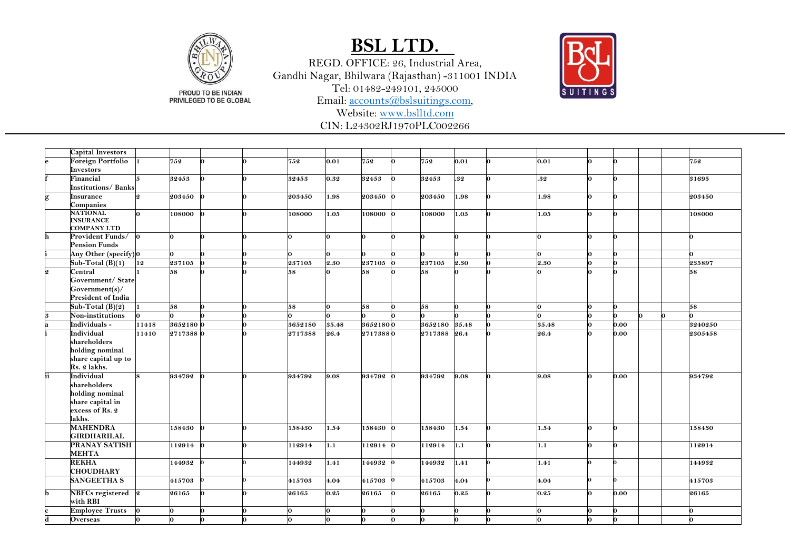

PRIVILEGED TO BE GLOBAL

### **BSL LTD.**

REGD. OFFICE: 26, Industrial Area, Gandhi Nagar, Bhilwara (Rajasthan) -311001 INDIA Tel: 01482 -249101, 245000

Email: [accounts@bslsuitings.com,](mailto:accounts@bslsuitings.com)

Website: [www.bslltd.com](http://www.bslltd.com/)

CIN: L24302RJ1970PLC002266

**Capital Investors e Foreign Portfolio Investors 752 752 0.01 752 752 0.01 0.01 752 f Financial Institutions/ Banks 32453 32453 0.32 32453 32453 .32 .32 31695 g Insurance Companies 203450 203450 1.98 203450 203450 1.98 1.98 203450 NATIONAL INSURANCE COMPANY LTD 108000 108000 1.05 108000 108000 1.05 1.05 108000 h Provident Funds/ Pension Funds i Any Other (specify) 0 Sub -Total (B)(1) 12 237105 237105 2.30 237105 237105 2.30 2.30 235897 Central Government/ State Government(s)/ President of India 58 58 58 58 58 Sub -Total (B)(2) 58 58 58 58 58 Non -institutions a Individuals - 11418 3652180 0 3652180 35.48 3652180 3652180 35.48 35.48 0.00 3240250 i Individual shareholders holding nominal share capital up to Rs. 2 lakhs. 2717388 0 2717388 26.4 2717388 2717388 26.4 26.4 0.00 2305458 ii Individual shareholders holding nominal share capital in excess of Rs. 2 lakhs. 934792 0 934792 9.08 934792 934792 9.08 9.08 0.00 934792 MAHENDRA GIRDHARILAL 158430 1.54 158430 158430 1.54 1.54 158430 PRANAY SATISH MEHTA 112914 1.1 112914 112914 1.1 1.1 112914 REKHA CHOUDHARY 144932 1.41 144932 144932 1.41 1.41 144932 SANGEETHA S 415703 415703 4.04 415703 415703 4.04 4.04 415703 b NBFCs registered with RBI 26165 26165 0.25 26165 26165 0.25 0.25 0.00 26165 c Employee Trusts d Overseas**  

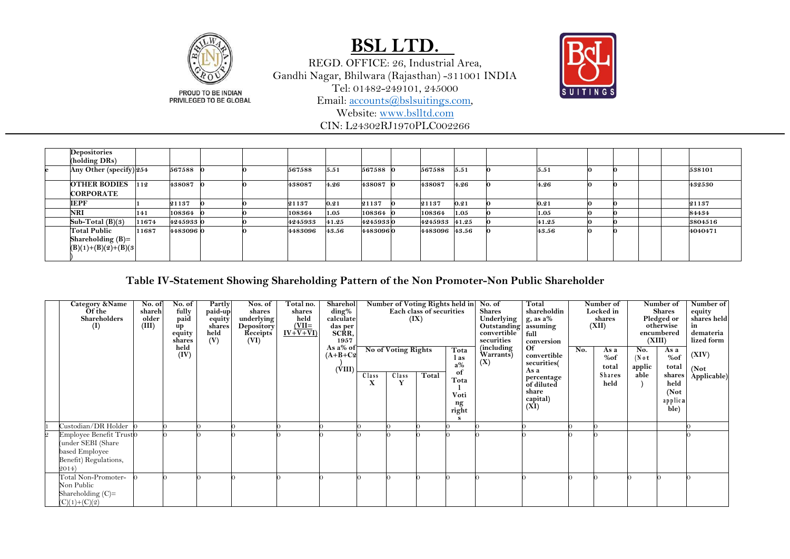

REGD. OFFICE: 26, Industrial Area, Gandhi Nagar, Bhilwara (Rajasthan) -311001 INDIA Tel: 01482-249101, 245000 Email: [accounts@bslsuitings.com,](mailto:accounts@bslsuitings.com)

Website: [www.bslltd.com](http://www.bslltd.com/) CIN: L24302RJ1970PLC002266



| <b>Depositories</b><br>(holding DRs)                          |       |           |  |         |       |          |               |      |       |  |  |         |
|---------------------------------------------------------------|-------|-----------|--|---------|-------|----------|---------------|------|-------|--|--|---------|
| Any Other (specify) 254                                       |       | 567588    |  | 567588  | 5.51  | 567588 0 | 567588        | 5.51 | 5.51  |  |  | 538101  |
| <b>OTHER BODIES</b><br><b>CORPORATE</b>                       | 112   | 438087    |  | 438087  | 4.26  | 438087 0 | 438087        | 4.26 | 4.26  |  |  | 432530  |
| <b>IEPF</b>                                                   |       | 21137     |  | 21137   | 0.21  | 21137    | 21137         | 0.21 | 0.21  |  |  | 21137   |
| <b>NRI</b>                                                    | 141   | 108364    |  | 108364  | 1.05  | 108364   | 108364        | 1.05 | 1.05  |  |  | 84434   |
| Sub-Total (B)(3)                                              | 11674 | 42459330  |  | 4245933 | 41.25 | 42459330 | 4245933 41.25 |      | 41.25 |  |  | 3804516 |
| Total Public<br>Shareholding $(B)=$<br>$(B)(1)+(B)(2)+(B)(3)$ | 11687 | 4483096 0 |  | 4483096 | 43.56 | 44830960 | 4483096 43.56 |      | 43.56 |  |  | 4040471 |

#### **Table IV-Statement Showing Shareholding Pattern of the Non Promoter-Non Public Shareholder**

|                | Category &Name<br>Of the<br>Shareholders<br>(I)                                                    | No. of<br>shareh<br>older<br>(III) | No. of<br>fully<br>paid                | Partly<br>paid-up<br>equity<br>shares | Nos. of<br>shares<br>underlying<br><b>Depository</b> | Total no.<br>shares<br>held<br>$\frac{\text{(VII=}}{\text{IV+V+VI}}$ | Sharehol<br>ding%<br>calculate<br>das per<br>SCRR, |            |                     | Number of Voting Rights held in<br>Each class of securities<br>(IX) |                                   | No. of<br>Shares<br>Underlying<br>Outstanding               | Total<br>shareholdin<br>$g$ , as a%<br>assuming               |     | Number of<br>Locked in<br>shares<br>(XII) |                          | Number of<br><b>Shares</b><br>Pledged or<br>otherwise | Number of<br>equity<br>shares held |
|----------------|----------------------------------------------------------------------------------------------------|------------------------------------|----------------------------------------|---------------------------------------|------------------------------------------------------|----------------------------------------------------------------------|----------------------------------------------------|------------|---------------------|---------------------------------------------------------------------|-----------------------------------|-------------------------------------------------------------|---------------------------------------------------------------|-----|-------------------------------------------|--------------------------|-------------------------------------------------------|------------------------------------|
|                |                                                                                                    |                                    | up<br>equity<br>shares<br>held<br>(IV) | held<br>(V)                           | Receipts<br>(VI)                                     |                                                                      | 1957<br>As a% of<br>$(A+B+C2)$                     |            | No of Voting Rights |                                                                     | Tota<br>l as<br>$a\%$             | convertible<br>securities<br>(including<br>Warrants)<br>(X) | full<br>conversion<br><b>Of</b><br>convertible<br>securities( | No. | As a<br>%of<br>total                      | No.<br>$($ Not<br>applic | encumbered<br>(XIII)<br>As a<br>%of<br>total          | demateria<br>lized form<br>(XIV)   |
|                |                                                                                                    |                                    |                                        |                                       |                                                      |                                                                      | (VIII)                                             | Class<br>x | Class<br>Y          | Total                                                               | of<br>Tota<br>Voti<br>ng<br>right |                                                             | As a<br>percentage<br>of diluted<br>share<br>capital)<br>(XI) |     | Shares<br>held                            | able                     | shares<br>held<br>(Not)<br>applica<br>ble)            | (Not)<br>Applicable)               |
|                | Custodian/DR Holder                                                                                |                                    |                                        |                                       |                                                      |                                                                      |                                                    |            |                     |                                                                     |                                   |                                                             |                                                               |     |                                           |                          |                                                       |                                    |
| $\overline{2}$ | Employee Benefit Trust0<br>(under SEBI (Share)<br>based Employee<br>Benefit) Regulations,<br>2014) |                                    |                                        |                                       |                                                      |                                                                      |                                                    |            |                     |                                                                     |                                   |                                                             |                                                               |     |                                           |                          |                                                       |                                    |
|                | Total Non-Promoter-<br>Non Public<br>Shareholding $(C)=$<br>$(C)(1)+(C)(2)$                        |                                    |                                        |                                       |                                                      |                                                                      |                                                    |            |                     |                                                                     |                                   |                                                             |                                                               |     |                                           |                          |                                                       |                                    |